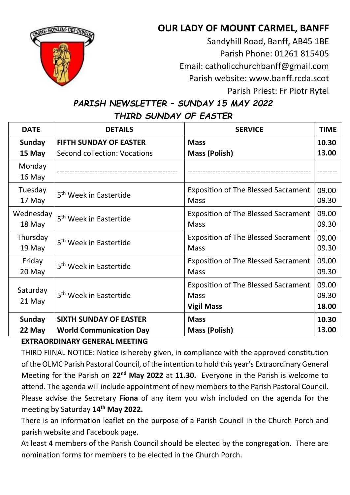

# **OUR LADY OF MOUNT CARMEL, BANFF**

Sandyhill Road, Banff, AB45 1BE Parish Phone: 01261 815405 Email: catholicchurchbanff@gmail.com Parish website: [www.banff.rcda.scot](http://www.banff.rcda.scot/) Parish Priest: Fr Piotr Rytel

## *PARISH NEWSLETTER – SUNDAY 15 MAY 2022 THIRD SUNDAY OF EASTER*

| <b>DATE</b>         | <b>DETAILS</b>                                                          | <b>SERVICE</b>                                                                 | <b>TIME</b>             |
|---------------------|-------------------------------------------------------------------------|--------------------------------------------------------------------------------|-------------------------|
| <b>Sunday</b>       | <b>FIFTH SUNDAY OF EASTER</b>                                           | <b>Mass</b>                                                                    | 10.30                   |
| 15 May              | Second collection: Vocations                                            | <b>Mass (Polish)</b>                                                           | 13.00                   |
| Monday<br>16 May    |                                                                         |                                                                                |                         |
| Tuesday<br>17 May   | 5 <sup>th</sup> Week in Eastertide                                      | <b>Exposition of The Blessed Sacrament</b><br><b>Mass</b>                      | 09.00<br>09.30          |
| Wednesday<br>18 May | 5 <sup>th</sup> Week in Eastertide                                      | <b>Exposition of The Blessed Sacrament</b><br>Mass                             | 09.00<br>09.30          |
| Thursday<br>19 May  | 5 <sup>th</sup> Week in Eastertide                                      | <b>Exposition of The Blessed Sacrament</b><br><b>Mass</b>                      | 09.00<br>09.30          |
| Friday<br>20 May    | 5 <sup>th</sup> Week in Eastertide                                      | <b>Exposition of The Blessed Sacrament</b><br>Mass                             | 09.00<br>09.30          |
| Saturday<br>21 May  | 5 <sup>th</sup> Week in Eastertide                                      | <b>Exposition of The Blessed Sacrament</b><br><b>Mass</b><br><b>Vigil Mass</b> | 09.00<br>09.30<br>18.00 |
| <b>Sunday</b>       | <b>SIXTH SUNDAY OF EASTER</b>                                           | <b>Mass</b>                                                                    | 10.30                   |
| 22 May              | <b>World Communication Day</b><br>EVED A ADDINIA DV AFNIFDAI A AFFEINIA | <b>Mass (Polish)</b>                                                           | 13.00                   |

**EXTRAORDINARY GENERAL MEETING**

THIRD FIINAL NOTICE: Notice is hereby given, in compliance with the approved constitution of the OLMC Parish Pastoral Council, of the intention to hold this year's Extraordinary General Meeting for the Parish on **22nd May 2022** at **11.30.** Everyone in the Parish is welcome to attend. The agenda will include appointment of new members to the Parish Pastoral Council. Please advise the Secretary **Fiona** of any item you wish included on the agenda for the meeting by Saturday **14th May 2022.**

There is an information leaflet on the purpose of a Parish Council in the Church Porch and parish website and Facebook page.

At least 4 members of the Parish Council should be elected by the congregation. There are nomination forms for members to be elected in the Church Porch.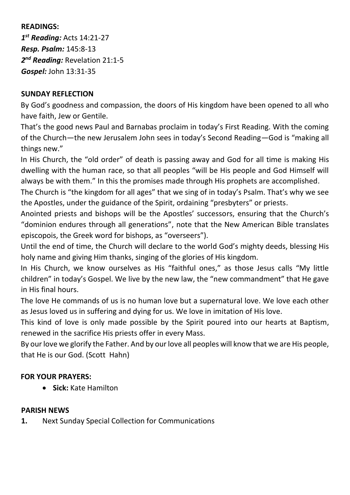**READINGS:**

*1 st Reading:* Acts 14:21-27 *Resp. Psalm:* 145:8-13 *2 nd Reading:* Revelation 21:1-5 *Gospel:* John 13:31-35

## **SUNDAY REFLECTION**

By God's goodness and compassion, the doors of His kingdom have been opened to all who have faith, Jew or Gentile.

That's the good news Paul and Barnabas proclaim in today's First Reading. With the coming of the Church—the new Jerusalem John sees in today's Second Reading—God is "making all things new."

In His Church, the "old order" of death is passing away and God for all time is making His dwelling with the human race, so that all peoples "will be His people and God Himself will always be with them." In this the promises made through His prophets are accomplished.

The Church is "the kingdom for all ages" that we sing of in today's Psalm. That's why we see the Apostles, under the guidance of the Spirit, ordaining "presbyters" or priests.

Anointed priests and bishops will be the Apostles' successors, ensuring that the Church's "dominion endures through all generations", note that the New American Bible translates episcopois, the Greek word for bishops, as "overseers").

Until the end of time, the Church will declare to the world God's mighty deeds, blessing His holy name and giving Him thanks, singing of the glories of His kingdom.

In His Church, we know ourselves as His "faithful ones," as those Jesus calls "My little children" in today's Gospel. We live by the new law, the "new commandment" that He gave in His final hours.

The love He commands of us is no human love but a supernatural love. We love each other as Jesus loved us in suffering and dying for us. We love in imitation of His love.

This kind of love is only made possible by the Spirit poured into our hearts at Baptism, renewed in the sacrifice His priests offer in every Mass.

By our love we glorify the Father. And by our love all peoples will know that we are His people, that He is our God. (Scott Hahn)

## **FOR YOUR PRAYERS:**

• **Sick:** Kate Hamilton

## **PARISH NEWS**

**1.** Next Sunday Special Collection for Communications